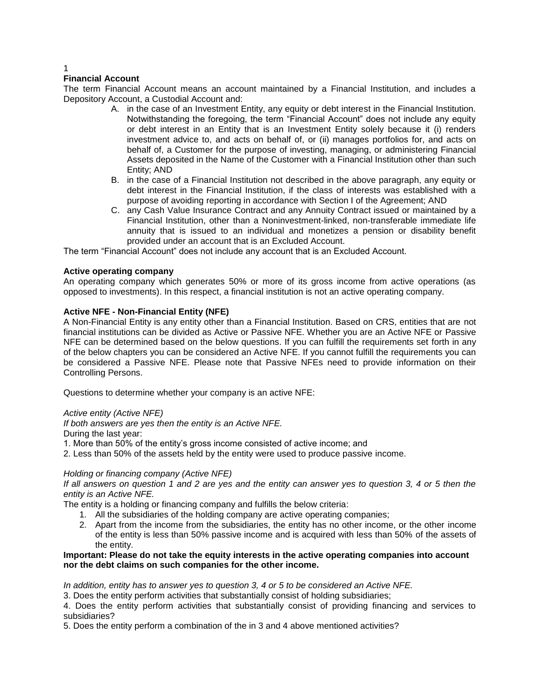# **Financial Account**

The term Financial Account means an account maintained by a Financial Institution, and includes a Depository Account, a Custodial Account and:

- A. in the case of an Investment Entity, any equity or debt interest in the Financial Institution. Notwithstanding the foregoing, the term "Financial Account" does not include any equity or debt interest in an Entity that is an Investment Entity solely because it (i) renders investment advice to, and acts on behalf of, or (ii) manages portfolios for, and acts on behalf of, a Customer for the purpose of investing, managing, or administering Financial Assets deposited in the Name of the Customer with a Financial Institution other than such Entity; AND
- B. in the case of a Financial Institution not described in the above paragraph, any equity or debt interest in the Financial Institution, if the class of interests was established with a purpose of avoiding reporting in accordance with Section I of the Agreement; AND
- C. any Cash Value Insurance Contract and any Annuity Contract issued or maintained by a Financial Institution, other than a Noninvestment-linked, non-transferable immediate life annuity that is issued to an individual and monetizes a pension or disability benefit provided under an account that is an Excluded Account.

The term "Financial Account" does not include any account that is an Excluded Account.

# **Active operating company**

An operating company which generates 50% or more of its gross income from active operations (as opposed to investments). In this respect, a financial institution is not an active operating company.

# **Active NFE - Non-Financial Entity (NFE)**

A Non-Financial Entity is any entity other than a Financial Institution. Based on CRS, entities that are not financial institutions can be divided as Active or Passive NFE. Whether you are an Active NFE or Passive NFE can be determined based on the below questions. If you can fulfill the requirements set forth in any of the below chapters you can be considered an Active NFE. If you cannot fulfill the requirements you can be considered a Passive NFE. Please note that Passive NFEs need to provide information on their Controlling Persons.

Questions to determine whether your company is an active NFE:

# *Active entity (Active NFE)*

*If both answers are yes then the entity is an Active NFE.*

During the last year:

- 1. More than 50% of the entity's gross income consisted of active income; and
- 2. Less than 50% of the assets held by the entity were used to produce passive income.

#### *Holding or financing company (Active NFE)*

*If all answers on question 1 and 2 are yes and the entity can answer yes to question 3, 4 or 5 then the entity is an Active NFE.*

The entity is a holding or financing company and fulfills the below criteria:

- 1. All the subsidiaries of the holding company are active operating companies;
- 2. Apart from the income from the subsidiaries, the entity has no other income, or the other income of the entity is less than 50% passive income and is acquired with less than 50% of the assets of the entity.

## **Important: Please do not take the equity interests in the active operating companies into account nor the debt claims on such companies for the other income.**

*In addition, entity has to answer yes to question 3, 4 or 5 to be considered an Active NFE.*

3. Does the entity perform activities that substantially consist of holding subsidiaries;

4. Does the entity perform activities that substantially consist of providing financing and services to subsidiaries?

5. Does the entity perform a combination of the in 3 and 4 above mentioned activities?

1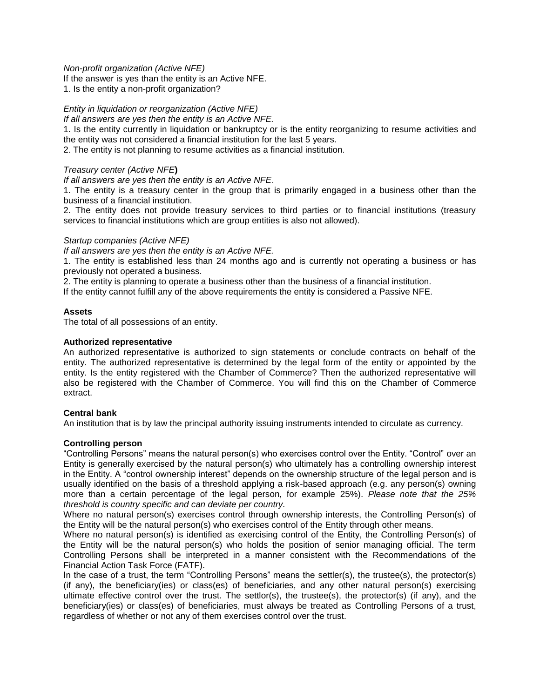## *Non-profit organization (Active NFE)*

If the answer is yes than the entity is an Active NFE.

1. Is the entity a non-profit organization?

# *Entity in liquidation or reorganization (Active NFE)*

*If all answers are yes then the entity is an Active NFE.*

1. Is the entity currently in liquidation or bankruptcy or is the entity reorganizing to resume activities and the entity was not considered a financial institution for the last 5 years.

2. The entity is not planning to resume activities as a financial institution.

# *Treasury center (Active NFE***)**

*If all answers are yes then the entity is an Active NFE*.

1. The entity is a treasury center in the group that is primarily engaged in a business other than the business of a financial institution.

2. The entity does not provide treasury services to third parties or to financial institutions (treasury services to financial institutions which are group entities is also not allowed).

## *Startup companies (Active NFE)*

*If all answers are yes then the entity is an Active NFE.*

1. The entity is established less than 24 months ago and is currently not operating a business or has previously not operated a business.

2. The entity is planning to operate a business other than the business of a financial institution.

If the entity cannot fulfill any of the above requirements the entity is considered a Passive NFE.

## **Assets**

The total of all possessions of an entity.

## **Authorized representative**

An authorized representative is authorized to sign statements or conclude contracts on behalf of the entity. The authorized representative is determined by the legal form of the entity or appointed by the entity. Is the entity registered with the Chamber of Commerce? Then the authorized representative will also be registered with the Chamber of Commerce. You will find this on the Chamber of Commerce extract.

# **Central bank**

An institution that is by law the principal authority issuing instruments intended to circulate as currency.

# **Controlling person**

"Controlling Persons" means the natural person(s) who exercises control over the Entity. "Control" over an Entity is generally exercised by the natural person(s) who ultimately has a controlling ownership interest in the Entity. A "control ownership interest" depends on the ownership structure of the legal person and is usually identified on the basis of a threshold applying a risk-based approach (e.g. any person(s) owning more than a certain percentage of the legal person, for example 25%). *Please note that the 25% threshold is country specific and can deviate per country.*

Where no natural person(s) exercises control through ownership interests, the Controlling Person(s) of the Entity will be the natural person(s) who exercises control of the Entity through other means.

Where no natural person(s) is identified as exercising control of the Entity, the Controlling Person(s) of the Entity will be the natural person(s) who holds the position of senior managing official. The term Controlling Persons shall be interpreted in a manner consistent with the Recommendations of the Financial Action Task Force (FATF).

In the case of a trust, the term "Controlling Persons" means the settler(s), the trustee(s), the protector(s) (if any), the beneficiary(ies) or class(es) of beneficiaries, and any other natural person(s) exercising ultimate effective control over the trust. The settlor(s), the trustee(s), the protector(s) (if any), and the beneficiary(ies) or class(es) of beneficiaries, must always be treated as Controlling Persons of a trust, regardless of whether or not any of them exercises control over the trust.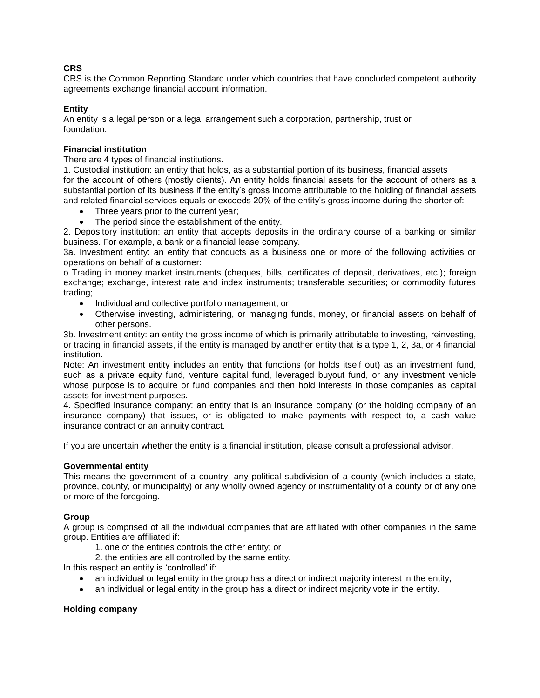# **CRS**

CRS is the Common Reporting Standard under which countries that have concluded competent authority agreements exchange financial account information.

# **Entity**

An entity is a legal person or a legal arrangement such a corporation, partnership, trust or foundation.

# **Financial institution**

There are 4 types of financial institutions.

1. Custodial institution: an entity that holds, as a substantial portion of its business, financial assets for the account of others (mostly clients). An entity holds financial assets for the account of others as a substantial portion of its business if the entity's gross income attributable to the holding of financial assets and related financial services equals or exceeds 20% of the entity's gross income during the shorter of:

- Three years prior to the current year;
- The period since the establishment of the entity.

2. Depository institution: an entity that accepts deposits in the ordinary course of a banking or similar business. For example, a bank or a financial lease company.

3a. Investment entity: an entity that conducts as a business one or more of the following activities or operations on behalf of a customer:

o Trading in money market instruments (cheques, bills, certificates of deposit, derivatives, etc.); foreign exchange; exchange, interest rate and index instruments; transferable securities; or commodity futures trading;

- Individual and collective portfolio management; or
- Otherwise investing, administering, or managing funds, money, or financial assets on behalf of other persons.

3b. Investment entity: an entity the gross income of which is primarily attributable to investing, reinvesting, or trading in financial assets, if the entity is managed by another entity that is a type 1, 2, 3a, or 4 financial institution.

Note: An investment entity includes an entity that functions (or holds itself out) as an investment fund, such as a private equity fund, venture capital fund, leveraged buyout fund, or any investment vehicle whose purpose is to acquire or fund companies and then hold interests in those companies as capital assets for investment purposes.

4. Specified insurance company: an entity that is an insurance company (or the holding company of an insurance company) that issues, or is obligated to make payments with respect to, a cash value insurance contract or an annuity contract.

If you are uncertain whether the entity is a financial institution, please consult a professional advisor.

# **Governmental entity**

This means the government of a country, any political subdivision of a county (which includes a state, province, county, or municipality) or any wholly owned agency or instrumentality of a county or of any one or more of the foregoing.

# **Group**

A group is comprised of all the individual companies that are affiliated with other companies in the same group. Entities are affiliated if:

1. one of the entities controls the other entity; or

2. the entities are all controlled by the same entity.

In this respect an entity is 'controlled' if:

- an individual or legal entity in the group has a direct or indirect majority interest in the entity;
- an individual or legal entity in the group has a direct or indirect majority vote in the entity.

# **Holding company**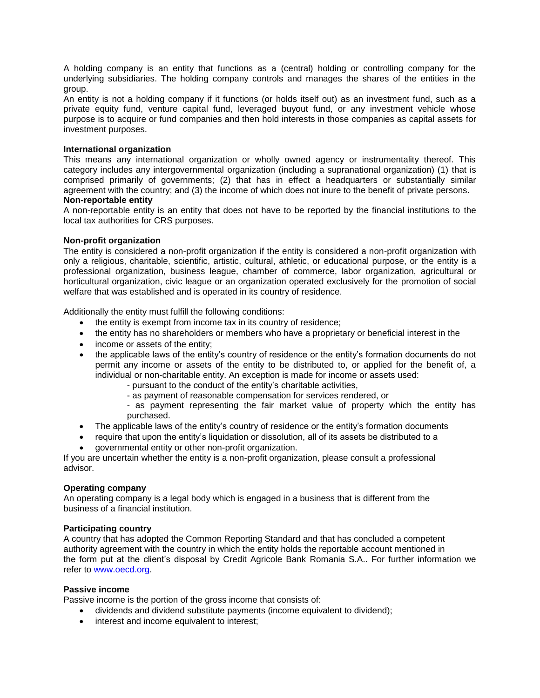A holding company is an entity that functions as a (central) holding or controlling company for the underlying subsidiaries. The holding company controls and manages the shares of the entities in the group.

An entity is not a holding company if it functions (or holds itself out) as an investment fund, such as a private equity fund, venture capital fund, leveraged buyout fund, or any investment vehicle whose purpose is to acquire or fund companies and then hold interests in those companies as capital assets for investment purposes.

## **International organization**

This means any international organization or wholly owned agency or instrumentality thereof. This category includes any intergovernmental organization (including a supranational organization) (1) that is comprised primarily of governments; (2) that has in effect a headquarters or substantially similar agreement with the country; and (3) the income of which does not inure to the benefit of private persons.

## **Non-reportable entity**

A non-reportable entity is an entity that does not have to be reported by the financial institutions to the local tax authorities for CRS purposes.

## **Non-profit organization**

The entity is considered a non-profit organization if the entity is considered a non-profit organization with only a religious, charitable, scientific, artistic, cultural, athletic, or educational purpose, or the entity is a professional organization, business league, chamber of commerce, labor organization, agricultural or horticultural organization, civic league or an organization operated exclusively for the promotion of social welfare that was established and is operated in its country of residence.

Additionally the entity must fulfill the following conditions:

- the entity is exempt from income tax in its country of residence;
- the entity has no shareholders or members who have a proprietary or beneficial interest in the
- income or assets of the entity;
- the applicable laws of the entity's country of residence or the entity's formation documents do not permit any income or assets of the entity to be distributed to, or applied for the benefit of, a individual or non-charitable entity. An exception is made for income or assets used:
	- pursuant to the conduct of the entity's charitable activities,
	- as payment of reasonable compensation for services rendered, or
	- as payment representing the fair market value of property which the entity has purchased.
- The applicable laws of the entity's country of residence or the entity's formation documents
- require that upon the entity's liquidation or dissolution, all of its assets be distributed to a
- governmental entity or other non-profit organization.

If you are uncertain whether the entity is a non-profit organization, please consult a professional advisor.

#### **Operating company**

An operating company is a legal body which is engaged in a business that is different from the business of a financial institution.

## **Participating country**

A country that has adopted the Common Reporting Standard and that has concluded a competent authority agreement with the country in which the entity holds the reportable account mentioned in the form put at the client's disposal by Credit Agricole Bank Romania S.A.. For further information we refer to www.oecd.org.

#### **Passive income**

Passive income is the portion of the gross income that consists of:

- dividends and dividend substitute payments (income equivalent to dividend);
- interest and income equivalent to interest;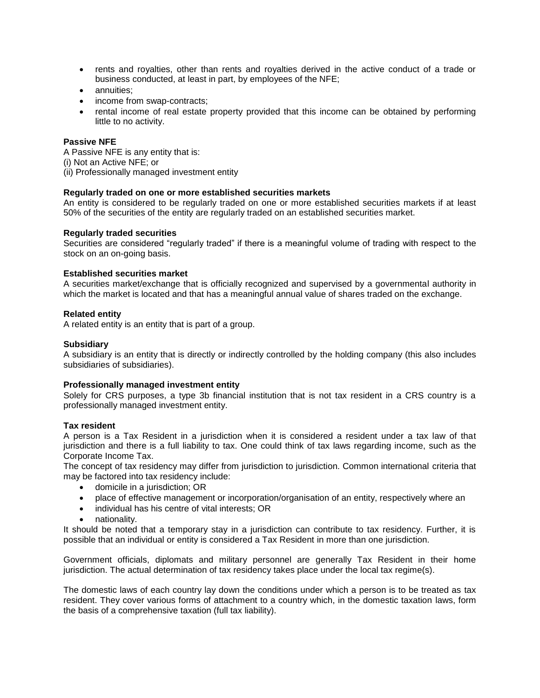- rents and royalties, other than rents and royalties derived in the active conduct of a trade or business conducted, at least in part, by employees of the NFE;
- annuities;
- income from swap-contracts;
- rental income of real estate property provided that this income can be obtained by performing little to no activity.

# **Passive NFE**

A Passive NFE is any entity that is:

- (i) Not an Active NFE; or
- (ii) Professionally managed investment entity

## **Regularly traded on one or more established securities markets**

An entity is considered to be regularly traded on one or more established securities markets if at least 50% of the securities of the entity are regularly traded on an established securities market.

## **Regularly traded securities**

Securities are considered "regularly traded" if there is a meaningful volume of trading with respect to the stock on an on-going basis.

## **Established securities market**

A securities market/exchange that is officially recognized and supervised by a governmental authority in which the market is located and that has a meaningful annual value of shares traded on the exchange.

## **Related entity**

A related entity is an entity that is part of a group.

## **Subsidiary**

A subsidiary is an entity that is directly or indirectly controlled by the holding company (this also includes subsidiaries of subsidiaries).

#### **Professionally managed investment entity**

Solely for CRS purposes, a type 3b financial institution that is not tax resident in a CRS country is a professionally managed investment entity.

#### **Tax resident**

A person is a Tax Resident in a jurisdiction when it is considered a resident under a tax law of that jurisdiction and there is a full liability to tax. One could think of tax laws regarding income, such as the Corporate Income Tax.

The concept of tax residency may differ from jurisdiction to jurisdiction. Common international criteria that may be factored into tax residency include:

- domicile in a jurisdiction; OR
- place of effective management or incorporation/organisation of an entity, respectively where an
- individual has his centre of vital interests; OR
- nationality.

It should be noted that a temporary stay in a jurisdiction can contribute to tax residency. Further, it is possible that an individual or entity is considered a Tax Resident in more than one jurisdiction.

Government officials, diplomats and military personnel are generally Tax Resident in their home jurisdiction. The actual determination of tax residency takes place under the local tax regime(s).

The domestic laws of each country lay down the conditions under which a person is to be treated as tax resident. They cover various forms of attachment to a country which, in the domestic taxation laws, form the basis of a comprehensive taxation (full tax liability).